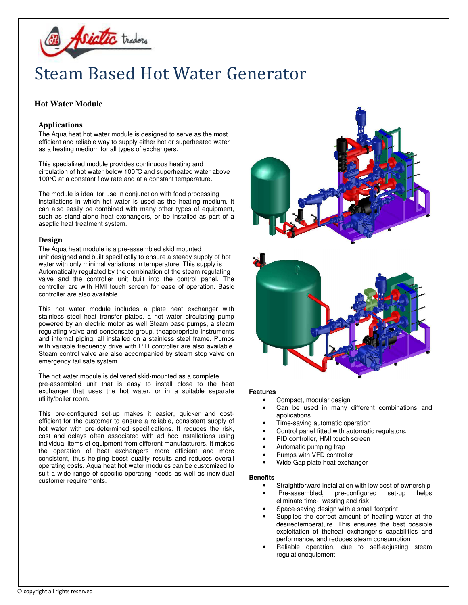

# Steam Based Hot Water Generator

# **Hot Water Module**

# Applications

The Aqua heat hot water module is designed to serve as the most efficient and reliable way to supply either hot or superheated water as a heating medium for all types of exchangers.

This specialized module provides continuous heating and circulation of hot water below 100°C and superheated water above 100°C at a constant flow rate and at a constant temperature.

The module is ideal for use in conjunction with food processing installations in which hot water is used as the heating medium. It can also easily be combined with many other types of equipment, such as stand-alone heat exchangers, or be installed as part of a aseptic heat treatment system.

### Design

The Aqua heat module is a pre-assembled skid mounted unit designed and built specifically to ensure a steady supply of hot water with only minimal variations in temperature. This supply is Automatically regulated by the combination of the steam regulating valve and the controller unit built into the control panel. The controller are with HMI touch screen for ease of operation. Basic controller are also available

This hot water module includes a plate heat exchanger with stainless steel heat transfer plates, a hot water circulating pump powered by an electric motor as well Steam base pumps, a steam regulating valve and condensate group, theappropriate instruments and internal piping, all installed on a stainless steel frame. Pumps with variable frequency drive with PID controller are also available. Steam control valve are also accompanied by steam stop valve on emergency fail safe system

. The hot water module is delivered skid-mounted as a complete pre-assembled unit that is easy to install close to the heat exchanger that uses the hot water, or in a suitable separate utility/boiler room.

This pre-configured set-up makes it easier, quicker and costefficient for the customer to ensure a reliable, consistent supply of hot water with pre-determined specifications. It reduces the risk, cost and delays often associated with ad hoc installations using individual items of equipment from different manufacturers. It makes the operation of heat exchangers more efficient and more consistent, thus helping boost quality results and reduces overall operating costs. Aqua heat hot water modules can be customized to suit a wide range of specific operating needs as well as individual customer requirements.



# **Features**

- Compact, modular design
- Can be used in many different combinations and applications
- Time-saving automatic operation
- Control panel fitted with automatic regulators.
- PID controller, HMI touch screen
- Automatic pumping trap
- Pumps with VFD controller
- Wide Gap plate heat exchanger

#### **Benefits**

- Straightforward installation with low cost of ownership
- Pre-assembled, pre-configured set-up helps eliminate time- wasting and risk
- Space-saving design with a small footprint
- Supplies the correct amount of heating water at the desiredtemperature. This ensures the best possible exploitation of theheat exchanger's capabilities and performance, and reduces steam consumption
- Reliable operation, due to self-adjusting steam regulationequipment.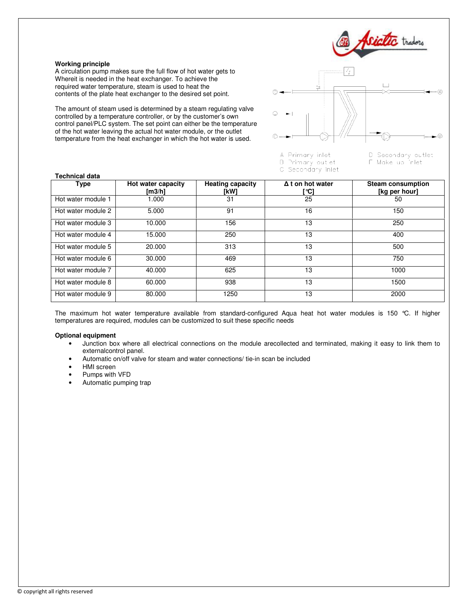

F Make up inlet

#### **Working principle**

A circulation pump makes sure the full flow of hot water gets to Whereit is needed in the heat exchanger. To achieve the required water temperature, steam is used to heat the contents of the plate heat exchanger to the desired set point.

The amount of steam used is determined by a steam regulating valve controlled by a temperature controller, or by the customer's own control panel/PLC system. The set point can either be the temperature of the hot water leaving the actual hot water module, or the outlet temperature from the heat exchanger in which the hot water is used.



B Primary out et

C Secondary inlet

#### **Technical data**

| <b>lecnnical data</b> |                                  |                                 |                                 |                                           |
|-----------------------|----------------------------------|---------------------------------|---------------------------------|-------------------------------------------|
| Type                  | Hot water capacity<br>[m $3/h$ ] | <b>Heating capacity</b><br>[kW] | $\Delta$ t on hot water<br>[°C] | <b>Steam consumption</b><br>[kg per hour] |
| Hot water module 1    | 000.1                            | 31                              | 25                              | 50                                        |
| Hot water module 2    | 5.000                            | 91                              | 16                              | 150                                       |
| Hot water module 3    | 10.000                           | 156                             | 13                              | 250                                       |
| Hot water module 4    | 15.000                           | 250                             | 13                              | 400                                       |
| Hot water module 5    | 20,000                           | 313                             | 13                              | 500                                       |
| Hot water module 6    | 30,000                           | 469                             | 13                              | 750                                       |
| Hot water module 7    | 40.000                           | 625                             | 13                              | 1000                                      |
| Hot water module 8    | 60.000                           | 938                             | 13                              | 1500                                      |
| Hot water module 9    | 80,000                           | 1250                            | 13                              | 2000                                      |

The maximum hot water temperature available from standard-configured Aqua heat hot water modules is 150 °C. If higher temperatures are required, modules can be customized to suit these specific needs

#### **Optional equipment**

- Junction box where all electrical connections on the module arecollected and terminated, making it easy to link them to externalcontrol panel.
- Automatic on/off valve for steam and water connections/ tie-in scan be included
- HMI screen
- Pumps with VFD
- Automatic pumping trap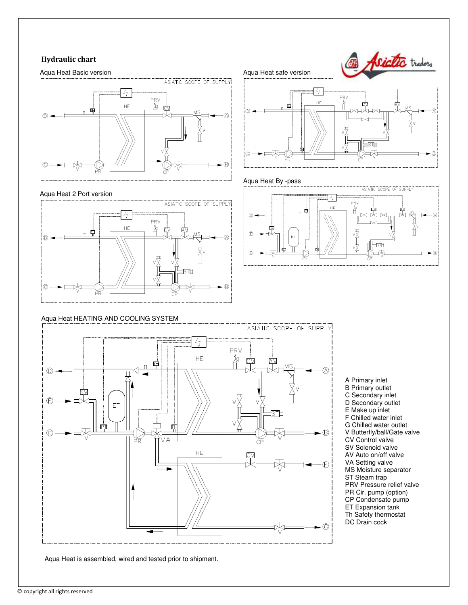# Hydraulic chart



#### Aqua Heat 2 Port version



# Aqua Heat HEATING AND COOLING SYSTEM



Aqua Heat is assembled, wired and tested prior to shipment.

Aqua Heat safe version





# Aqua Heat By -pass



A Primary inlet B Primary outlet C Secondary inlet D Secondary outlet E Make up inlet F Chilled water inlet G Chilled water outlet V Butterfly/ball/Gate valve CV Control valve SV Solenoid valve AV Auto on/off valve VA Setting valve MS Moisture separator ST Steam trap PRV Pressure relief valve PR Cir. pump (option) CP Condensate pump ET Expansion tank Th Safety thermostat DC Drain cock